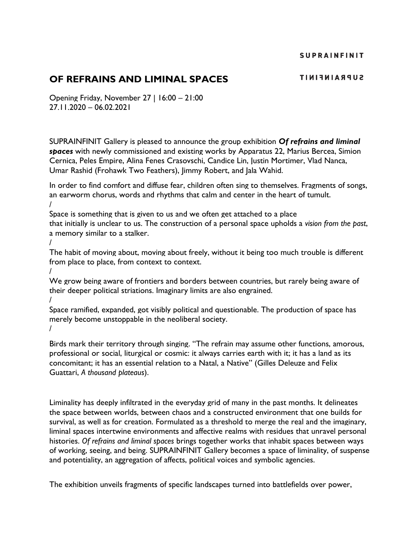# **OF REFRAINS AND LIMINAL SPACES**

Opening Friday, November 27 | 16:00 – 21:00 27.11.2020 – 06.02.2021

SUPRAINFINIT Gallery is pleased to announce the group exhibition *Of refrains and liminal spaces* with newly commissioned and existing works by Apparatus 22, Marius Bercea, Simion Cernica, Peles Empire, Alina Fenes Crasovschi, Candice Lin, Justin Mortimer, Vlad Nanca, Umar Rashid (Frohawk Two Feathers), Jimmy Robert, and Jala Wahid.

In order to find comfort and diffuse fear, children often sing to themselves. Fragments of songs, an earworm chorus, words and rhythms that calm and center in the heart of tumult. /

Space is something that is given to us and we often get attached to a place that initially is unclear to us. The construction of a personal space upholds a *vision from the past*, a memory similar to a stalker.

/

The habit of moving about, moving about freely, without it being too much trouble is different from place to place, from context to context.

/ We grow being aware of frontiers and borders between countries, but rarely being aware of their deeper political striations. Imaginary limits are also engrained. /

Space ramified, expanded, got visibly political and questionable. The production of space has merely become unstoppable in the neoliberal society. /

Birds mark their territory through singing. "The refrain may assume other functions, amorous, professional or social, liturgical or cosmic: it always carries earth with it; it has a land as its concomitant; it has an essential relation to a Natal, a Native" (Gilles Deleuze and Felix Guattari, *A thousand plateaus*).

Liminality has deeply infiltrated in the everyday grid of many in the past months. It delineates the space between worlds, between chaos and a constructed environment that one builds for survival, as well as for creation. Formulated as a threshold to merge the real and the imaginary, liminal spaces intertwine environments and affective realms with residues that unravel personal histories. *Of refrains and liminal spaces* brings together works that inhabit spaces between ways of working, seeing, and being. SUPRAINFINIT Gallery becomes a space of liminality, of suspense and potentiality, an aggregation of affects, political voices and symbolic agencies.

The exhibition unveils fragments of specific landscapes turned into battlefields over power,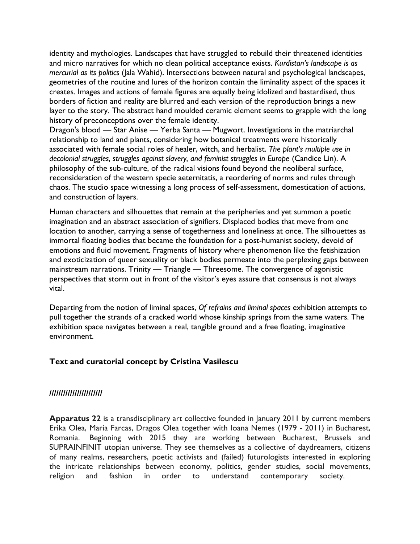identity and mythologies. Landscapes that have struggled to rebuild their threatened identities and micro narratives for which no clean political acceptance exists. *Kurdistan's landscape is as mercurial as its politics* (Jala Wahid). Intersections between natural and psychological landscapes, geometries of the routine and lures of the horizon contain the liminality aspect of the spaces it creates. Images and actions of female figures are equally being idolized and bastardised, thus borders of fiction and reality are blurred and each version of the reproduction brings a new layer to the story. The abstract hand moulded ceramic element seems to grapple with the long history of preconceptions over the female identity.

Dragon's blood — Star Anise — Yerba Santa — Mugwort. Investigations in the matriarchal relationship to land and plants, considering how botanical treatments were historically associated with female social roles of healer, witch, and herbalist. *The plant's multiple use in*  decolonial struggles, struggles against slavery, and feminist struggles in Europe (Candice Lin). A philosophy of the sub-culture, of the radical visions found beyond the neoliberal surface, reconsideration of the western specie aeternitatis, a reordering of norms and rules through chaos. The studio space witnessing a long process of self-assessment, domestication of actions, and construction of layers.

Human characters and silhouettes that remain at the peripheries and yet summon a poetic imagination and an abstract association of signifiers. Displaced bodies that move from one location to another, carrying a sense of togetherness and loneliness at once. The silhouettes as immortal floating bodies that became the foundation for a post-humanist society, devoid of emotions and fluid movement. Fragments of history where phenomenon like the fetishization and exoticization of queer sexuality or black bodies permeate into the perplexing gaps between mainstream narrations. Trinity — Triangle — Threesome. The convergence of agonistic perspectives that storm out in front of the visitor's eyes assure that consensus is not always vital.

Departing from the notion of liminal spaces, *Of refrains and liminal spaces* exhibition attempts to pull together the strands of a cracked world whose kinship springs from the same waters. The exhibition space navigates between a real, tangible ground and a free floating, imaginative environment.

### **Text and curatorial concept by Cristina Vasilescu**

### **///////////////////////**

**Apparatus 22** is a transdisciplinary art collective founded in January 2011 by current members Erika Olea, Maria Farcas, Dragos Olea together with Ioana Nemes (1979 - 2011) in Bucharest, Romania. Beginning with 2015 they are working between Bucharest, Brussels and SUPRAINFINIT utopian universe. They see themselves as a collective of daydreamers, citizens of many realms, researchers, poetic activists and (failed) futurologists interested in exploring the intricate relationships between economy, politics, gender studies, social movements, religion and fashion in order to understand contemporary society.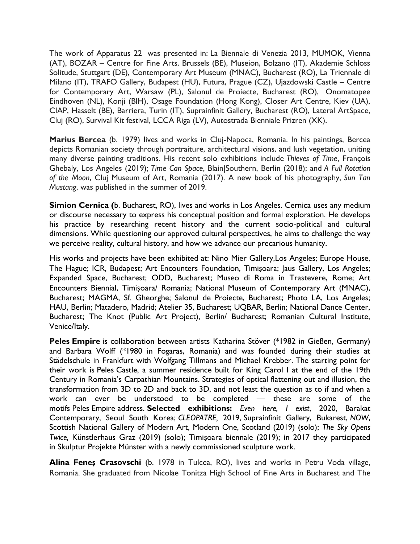The work of Apparatus 22 was presented in: La Biennale di Venezia 2013, MUMOK, Vienna (AT), BOZAR – Centre for Fine Arts, Brussels (BE), Museion, Bolzano (IT), Akademie Schloss Solitude, Stuttgart (DE), Contemporary Art Museum (MNAC), Bucharest (RO), La Triennale di Milano (IT), TRAFO Gallery, Budapest (HU), Futura, Prague (CZ), Ujazdowski Castle – Centre for Contemporary Art, Warsaw (PL), Salonul de Proiecte, Bucharest (RO), Onomatopee Eindhoven (NL), Konji (BIH), Osage Foundation (Hong Kong), Closer Art Centre, Kiev (UA), CIAP, Hasselt (BE), Barriera, Turin (IT), Suprainfinit Gallery, Bucharest (RO), Lateral ArtSpace, Cluj (RO), Survival Kit festival, LCCA Riga (LV), Autostrada Bienniale Prizren (XK).

**Marius Bercea** (b. 1979) lives and works in Cluj-Napoca, Romania. In his paintings, Bercea depicts Romanian society through portraiture, architectural visions, and lush vegetation, uniting many diverse painting traditions. His recent solo exhibitions include *Thieves of Time*, François Ghebaly, Los Angeles (2019); *Time Can Space*, Blain|Southern, Berlin (2018); and *A Full Rotation of the Moon*, Cluj Museum of Art, Romania (2017). A new book of his photography, *Sun Tan Mustang*, was published in the summer of 2019.

**Simion Cernica (**b. Bucharest, RO), lives and works in Los Angeles. Cernica uses any medium or discourse necessary to express his conceptual position and formal exploration. He develops his practice by researching recent history and the current socio-political and cultural dimensions. While questioning our approved cultural perspectives, he aims to challenge the way we perceive reality, cultural history, and how we advance our precarious humanity.

His works and projects have been exhibited at: Nino Mier Gallery,Los Angeles; Europe House, The Hague; ICR, Budapest; Art Encounters Foundation, Timișoara; Jaus Gallery, Los Angeles; Expanded Space, Bucharest; ODD, Bucharest; Museo di Roma in Trastevere, Rome; Art Encounters Biennial, Timișoara/ Romania; National Museum of Contemporary Art (MNAC), Bucharest; MAGMA, Sf. Gheorghe; Salonul de Proiecte, Bucharest; Photo LA, Los Angeles; HAU, Berlin; Matadero, Madrid; Atelier 35, Bucharest; UQBAR, Berlin; National Dance Center, Bucharest; The Knot (Public Art Project), Berlin/ Bucharest; Romanian Cultural Institute, Venice/Italy.

**Peles Empire** is collaboration between artists Katharina Stöver (\*1982 in Gießen, Germany) and Barbara Wolff (\*1980 in Fogaras, Romania) and was founded during their studies at Städelschule in Frankfurt with Wolfgang Tillmans and Michael Krebber. The starting point for their work is Peles Castle, a summer residence built for King Carol I at the end of the 19th Century in Romania's Carpathian Mountains. Strategies of optical flattening out and illusion, the transformation from 3D to 2D and back to 3D, and not least the question as to if and when a work can ever be understood to be completed — these are some of the motifs Peles Empire address. **Selected exhibitions:** *Even here, I exist*, 2020, Barakat Contemporary, Seoul South Korea; *CLEOPATRE,* 2019, Suprainfinit Gallery, Bukarest, *NOW*, Scottish National Gallery of Modern Art, Modern One, Scotland (2019) (solo); *The Sky Opens Twice,* Künstlerhaus Graz (2019) (solo); Timișoara biennale (2019); in 2017 they participated in Skulptur Projekte Münster with a newly commissioned sculpture work.

**Alina Feneș Crasovschi** (b. 1978 in Tulcea, RO), lives and works in Petru Voda village, Romania. She graduated from Nicolae Tonitza High School of Fine Arts in Bucharest and The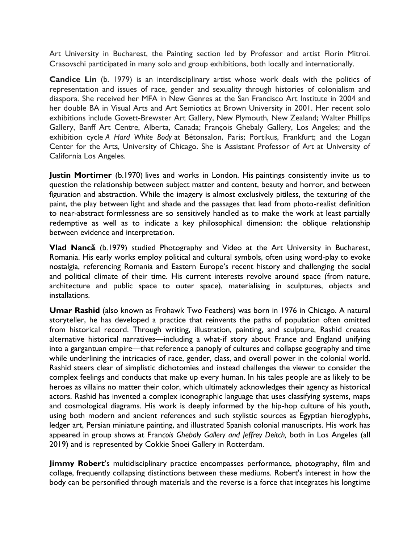Art University in Bucharest, the Painting section led by Professor and artist Florin Mitroi. Crasovschi participated in many solo and group exhibitions, both locally and internationally.

**Candice Lin** (b. 1979) is an interdisciplinary artist whose work deals with the politics of representation and issues of race, gender and sexuality through histories of colonialism and diaspora. She received her MFA in New Genres at the San Francisco Art Institute in 2004 and her double BA in Visual Arts and Art Semiotics at Brown University in 2001. Her recent solo exhibitions include Govett-Brewster Art Gallery, New Plymouth, New Zealand; Walter Phillips Gallery, Banff Art Centre, Alberta, Canada; François Ghebaly Gallery, Los Angeles; and the exhibition cycle *A Hard White Body* at Bétonsalon, Paris; Portikus, Frankfurt; and the Logan Center for the Arts, University of Chicago. She is Assistant Professor of Art at University of California Los Angeles.

**Justin Mortimer** (b.1970) lives and works in London. His paintings consistently invite us to question the relationship between subject matter and content, beauty and horror, and between figuration and abstraction. While the imagery is almost exclusively pitiless, the texturing of the paint, the play between light and shade and the passages that lead from photo-realist definition to near-abstract formlessness are so sensitively handled as to make the work at least partially redemptive as well as to indicate a key philosophical dimension: the oblique relationship between evidence and interpretation.

**Vlad Nancă** (b.1979) studied Photography and Video at the Art University in Bucharest, Romania. His early works employ political and cultural symbols, often using word-play to evoke nostalgia, referencing Romania and Eastern Europe's recent history and challenging the social and political climate of their time. His current interests revolve around space (from nature, architecture and public space to outer space), materialising in sculptures, objects and installations.

**Umar Rashid** (also known as Frohawk Two Feathers) was born in 1976 in Chicago. A natural storyteller, he has developed a practice that reinvents the paths of population often omitted from historical record. Through writing, illustration, painting, and sculpture, Rashid creates alternative historical narratives—including a what-if story about France and England unifying into a gargantuan empire—that reference a panoply of cultures and collapse geography and time while underlining the intricacies of race, gender, class, and overall power in the colonial world. Rashid steers clear of simplistic dichotomies and instead challenges the viewer to consider the complex feelings and conducts that make up every human. In his tales people are as likely to be heroes as villains no matter their color, which ultimately acknowledges their agency as historical actors. Rashid has invented a complex iconographic language that uses classifying systems, maps and cosmological diagrams. His work is deeply informed by the hip-hop culture of his youth, using both modern and ancient references and such stylistic sources as Egyptian hieroglyphs, ledger art, Persian miniature painting, and illustrated Spanish colonial manuscripts. His work has appeared in group shows at Fran*çois Ghebaly Gallery and Jeffrey Deitch,* both in Los Angeles (all 2019) and is represented by Cokkie Snoei Gallery in Rotterdam.

**Jimmy Robert**'s multidisciplinary practice encompasses performance, photography, film and collage, frequently collapsing distinctions between these mediums. Robert's interest in how the body can be personified through materials and the reverse is a force that integrates his longtime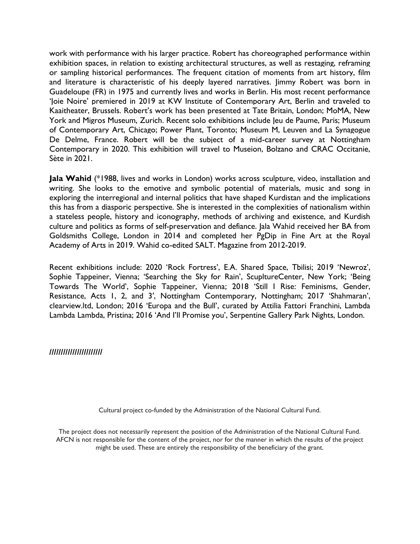work with performance with his larger practice. Robert has choreographed performance within exhibition spaces, in relation to existing architectural structures, as well as restaging, reframing or sampling historical performances. The frequent citation of moments from art history, film and literature is characteristic of his deeply layered narratives. Jimmy Robert was born in Guadeloupe (FR) in 1975 and currently lives and works in Berlin. His most recent performance 'Joie Noire' premiered in 2019 at KW Institute of Contemporary Art, Berlin and traveled to Kaaitheater, Brussels. Robert's work has been presented at Tate Britain, London; MoMA, New York and Migros Museum, Zurich. Recent solo exhibitions include leu de Paume, Paris: Museum of Contemporary Art, Chicago; Power Plant, Toronto; Museum M, Leuven and La Synagogue De Delme, France. Robert will be the subject of a mid-career survey at Nottingham Contemporary in 2020. This exhibition will travel to Museion, Bolzano and CRAC Occitanie, Sète in 2021.

**Jala Wahid** (\*1988, lives and works in London) works across sculpture, video, installation and writing. She looks to the emotive and symbolic potential of materials, music and song in exploring the interregional and internal politics that have shaped Kurdistan and the implications this has from a diasporic perspective. She is interested in the complexities of nationalism within a stateless people, history and iconography, methods of archiving and existence, and Kurdish culture and politics as forms of self-preservation and defiance. Jala Wahid received her BA from Goldsmiths College, London in 2014 and completed her PgDip in Fine Art at the Royal Academy of Arts in 2019. Wahid co-edited SALT. Magazine from 2012-2019.

Recent exhibitions include: 2020 'Rock Fortress', E.A. Shared Space, Tbilisi; 2019 ['Newroz'](http://www.sophietappeiner.com/exhibition/jala-wahid/), Sophie Tappeiner, Vienna; ['Searching the Sky for Rain',](https://www.sculpture-center.org/exhibitions/12484/searching-the-sky-for-rain) ScupltureCenter, New York; '[Being](http://www.sophietappeiner.com/exhibition/being-towards-the-world/)  [Towards The World',](http://www.sophietappeiner.com/exhibition/being-towards-the-world/) Sophie Tappeiner, Vienna; 2018 '[Still I Rise: Feminisms, Gender,](https://www.nottinghamcontemporary.org/whats-on/still-i-rise/)  [Resistance, Acts 1,](https://www.nottinghamcontemporary.org/whats-on/still-i-rise/) 2, and 3′, Nottingham Contemporary, Nottingham; 2017 'Shahmaran', clearview.ltd, London; 2016 ['Europa and the Bull'](http://lambdalambdalambda.org/?/exhibitions/europa-and-the-bull/), curated by Attilia Fattori Franchini, Lambda Lambda Lambda, Pristina; 2016 ['And I'll Promise you'](https://www.serpentinegalleries.org/exhibitions-events/park-nights-2016-jala-wahid), Serpentine Gallery Park Nights, London.

### **///////////////////////**

Cultural project co-funded by the Administration of the National Cultural Fund.

The project does not necessarily represent the position of the Administration of the National Cultural Fund. AFCN is not responsible for the content of the project, nor for the manner in which the results of the project might be used. These are entirely the responsibility of the beneficiary of the grant.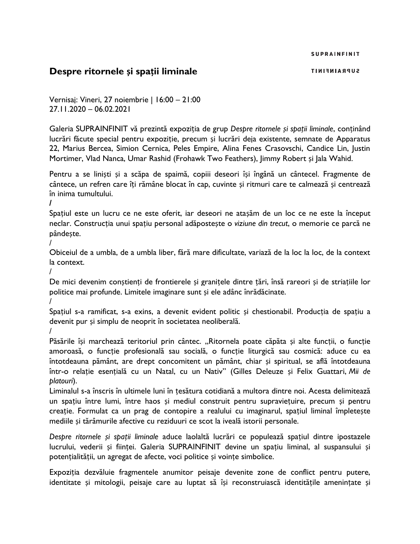**SUPRAINFINIT** 

## **Despre ritornele și spații liminale**

Vernisaj: Vineri, 27 noiembrie | 16:00 – 21:00 27.11.2020 – 06.02.2021

Galeria SUPRAINFINIT vă prezintă expoziția de grup *Despre ritornele și spații liminale*, conținând lucrări făcute special pentru expoziție, precum și lucrări deja existente, semnate de Apparatus 22, Marius Bercea, Simion Cernica, Peles Empire, Alina Fenes Crasovschi, Candice Lin, Justin Mortimer, Vlad Nanca, Umar Rashid (Frohawk Two Feathers), Jimmy Robert și Jala Wahid.

Pentru a se liniști și a scăpa de spaimă, copiii deseori își îngână un cântecel. Fragmente de cântece, un refren care îți rămâne blocat în cap, cuvinte și ritmuri care te calmează și centrează în inima tumultului.

**/**

Spațiul este un lucru ce ne este oferit, iar deseori ne atașăm de un loc ce ne este la început neclar. Construcția unui spațiu personal adăpostește o *viziune din trecut*, o memorie ce parcă ne pândește.

/

Obiceiul de a umbla, de a umbla liber, fără mare dificultate, variază de la loc la loc, de la context la context.

/

De mici devenim conștienți de frontierele și granițele dintre țări, însă rareori și de striațiile lor politice mai profunde. Limitele imaginare sunt și ele adânc înrădăcinate.

/

Spațiul s-a ramificat, s-a exins, a devenit evident politic și chestionabil. Producția de spațiu a devenit pur și simplu de neoprit în societatea neoliberală.

/

Păsările își marchează teritoriul prin cântec. "Ritornela poate căpăta și alte funcții, o funcție amoroasă, o funcție profesională sau socială, o funcție liturgică sau cosmică: aduce cu ea întotdeauna pământ, are drept concomitent un pământ, chiar și spiritual, se află întotdeauna într-o relație esențială cu un Natal, cu un Nativ" (Gilles Deleuze și Felix Guattari, *Mii de platouri*).

Liminalul s-a înscris în ultimele luni în țesătura cotidiană a multora dintre noi. Acesta delimitează un spațiu între lumi, între haos și mediul construit pentru supraviețuire, precum și pentru creație. Formulat ca un prag de contopire a realului cu imaginarul, spațiul liminal împletește mediile și tărâmurile afective cu reziduuri ce scot la iveală istorii personale.

*Despre ritornele și spații liminale* aduce laolaltă lucrări ce populează spațiul dintre ipostazele lucrului, vederii și ființei. Galeria SUPRAINFINIT devine un spațiu liminal, al suspansului și potențialității, un agregat de afecte, voci politice și voințe simbolice.

Expoziția dezvăluie fragmentele anumitor peisaje devenite zone de conflict pentru putere, identitate și mitologii, peisaje care au luptat să își reconstruiască identitățile amenințate și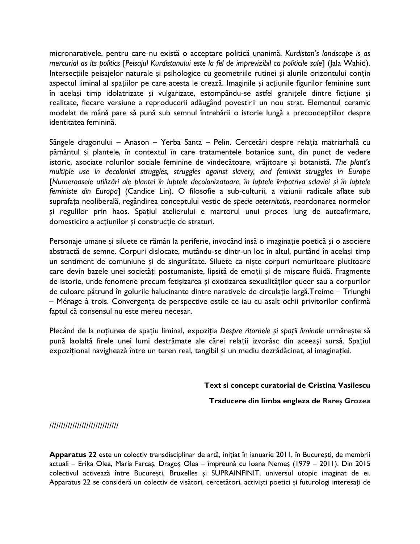micronarativele, pentru care nu există o acceptare politică unanimă. *Kurdistan's landscape is as mercurial as its politics* [*Peisajul Kurdistanului este la fel de imprevizibil ca politicile sale*] (Jala Wahid). Intersecțiile peisajelor naturale și psihologice cu geometriile rutinei și alurile orizontului conțin aspectul liminal al spațiilor pe care acesta le crează. Imaginile și acțiunile figurilor feminine sunt în același timp idolatrizate și vulgarizate, estompându-se astfel granițele dintre ficțiune și realitate, fiecare versiune a reproducerii adăugând povestirii un nou strat. Elementul ceramic modelat de mână pare să pună sub semnul întrebării o istorie lungă a preconcepțiilor despre identitatea feminină.

Sângele dragonului – Anason – Yerba Santa – Pelin. Cercetări despre relația matriarhală cu pământul și plantele, în contextul în care tratamentele botanice sunt, din punct de vedere istoric, asociate rolurilor sociale feminine de vindecătoare, vrăjitoare și botanistă. *The plant's multiple use in decolonial struggles, struggles against slavery, and feminist struggles in Europe*  [*Numeroasele utilizări ale plantei în luptele decolonizatoare, în luptele împotriva sclaviei și în luptele feministe din Europa*] (Candice Lin). O filosofie a sub-culturii, a viziunii radicale aflate sub suprafața neoliberală, regândirea conceptului vestic de *specie aeternitatis*, reordonarea normelor și regulilor prin haos. Spațiul atelierului e martorul unui proces lung de autoafirmare, domesticire a acțiunilor și construcție de straturi.

Personaje umane și siluete ce rămân la periferie, invocând însă o imaginație poetică și o asociere abstractă de semne. Corpuri dislocate, mutându-se dintr-un loc în altul, purtând în același timp un sentiment de comuniune și de singurătate. Siluete ca niște corpuri nemuritoare plutitoare care devin bazele unei societăți postumaniste, lipsită de emoții și de mișcare fluidă. Fragmente de istorie, unde fenomene precum fetișizarea și exotizarea sexualităților queer sau a corpurilor de culoare pătrund în golurile halucinante dintre narativele de circulație largă.Treime – Triunghi – Ménage à trois. Convergența de perspective ostile ce iau cu asalt ochii privitorilor confirmă faptul că consensul nu este mereu necesar.

Plecând de la noțiunea de spațiu liminal, expoziția *Despre ritornele și spații liminale* urmărește să pună laolaltă firele unei lumi destrămate ale cărei relații izvorăsc din aceeași sursă. Spațiul expozițional navighează între un teren real, tangibil și un mediu dezrădăcinat, al imaginației.

#### **Text si concept curatorial de Cristina Vasilescu**

**Traducere din limba engleza de Rareș Grozea**

//////////////////////////////

**Apparatus 22** este un colectiv transdisciplinar de artă, inițiat în ianuarie 2011, în București, de membrii actuali – Erika Olea, Maria Farcaș, Dragoș Olea – împreună cu Ioana Nemeș (1979 – 2011). Din 2015 colectivul activează între București, Bruxelles și SUPRAINFINIT, universul utopic imaginat de ei. Apparatus 22 se consideră un colectiv de visători, cercetători, activiști poetici și futurologi interesați de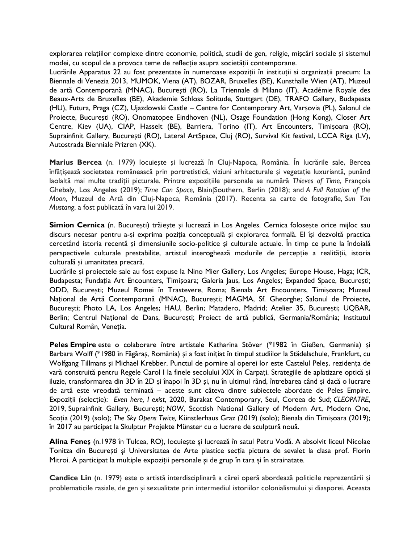explorarea relațiilor complexe dintre economie, politică, studii de gen, religie, mișcări sociale și sistemul modei, cu scopul de a provoca teme de reflecție asupra societății contemporane.

Lucrările Apparatus 22 au fost prezentate în numeroase expoziții în instituții si organizații precum: La Biennale di Venezia 2013, MUMOK, Viena (AT), BOZAR, Bruxelles (BE), Kunsthalle Wien (AT), Muzeul de artă Contemporană (MNAC), București (RO), La Triennale di Milano (IT), Académie Royale des Beaux-Arts de Bruxelles (BE), Akademie Schloss Solitude, Stuttgart (DE), TRAFO Gallery, Budapesta (HU), Futura, Praga (CZ), Ujazdowski Castle – Centre for Contemporary Art, Varșovia (PL), Salonul de Proiecte, București (RO), Onomatopee Eindhoven (NL), Osage Foundation (Hong Kong), Closer Art Centre, Kiev (UA), CIAP, Hasselt (BE), Barriera, Torino (IT), Art Encounters, Timișoara (RO), Suprainfinit Gallery, București (RO), Lateral ArtSpace, Cluj (RO), Survival Kit festival, LCCA Riga (LV), Autostrada Bienniale Prizren (XK).

**Marius Bercea** (n. 1979) locuiește și lucrează în Cluj-Napoca, România. În lucrările sale, Bercea înfățișează societatea românească prin portretistică, viziuni arhitecturale și vegetație luxuriantă, punând laolaltă mai multe tradiții picturale. Printre expozițiile personale se numără *Thieves of Time*, François Ghebaly, Los Angeles (2019); *Time Can Space*, Blain|Southern, Berlin (2018); and *A Full Rotation of the Moon*, Muzeul de Artă din Cluj-Napoca, România (2017). Recenta sa carte de fotografie, *Sun Tan Mustang*, a fost publicată în vara lui 2019.

**Simion Cernica** (n. București) trăiește și lucrează in Los Angeles. Cernica folosește orice mijloc sau discurs necesar pentru a-și exprima poziția conceptuală și explorarea formală. El își dezvoltă practica cercetând istoria recentă și dimensiunile socio-politice și culturale actuale. În timp ce pune la îndoială perspectivele culturale prestabilite, artistul interoghează modurile de percepție a realității, istoria culturală și umanitatea precară.

Lucrările și proiectele sale au fost expuse la Nino Mier Gallery, Los Angeles; Europe House, Haga; ICR, Budapesta; Fundația Art Encounters, Timișoara; Galeria Jaus, Los Angeles; Expanded Space, București; ODD, București; Muzeul Romei în Trastevere, Roma; Bienala Art Encounters, Timișoara; Muzeul Național de Artă Contemporană (MNAC), București; MAGMA, Sf. Gheorghe; Salonul de Proiecte, București; Photo LA, Los Angeles; HAU, Berlin; Matadero, Madrid; Atelier 35, București; UQBAR, Berlin; Centrul Național de Dans, București; Proiect de artă publică, Germania/România; Institutul Cultural Român, Veneția.

**Peles Empire** este o colaborare între artistele Katharina Stöver (\*1982 în Gießen, Germania) și Barbara Wolff (\*1980 în Făgăraș, România) și a fost inițiat în timpul studiilor la Städelschule, Frankfurt, cu Wolfgang Tillmans și Michael Krebber. Punctul de pornire al operei lor este Castelul Peleș, rezidența de vară construită pentru Regele Carol I la finele secolului XIX în Carpați. Strategiile de aplatizare optică și iluzie, transformarea din 3D în 2D și înapoi în 3D și, nu în ultimul rând, întrebarea când și dacă o lucrare de artă este vreodată terminată – aceste sunt câteva dintre subiectele abordate de Peles Empire. Expoziții (selecție): *Even here, I exist*, 2020, Barakat Contemporary, Seul, Coreea de Sud; *CLEOPATRE*, 2019, Suprainfinit Gallery, București; *NOW*, Scottish National Gallery of Modern Art, Modern One, Scoția (2019) (solo); *The Sky Opens Twice,* Künstlerhaus Graz (2019) (solo); Bienala din Timișoara (2019); în 2017 au participat la Skulptur Projekte Münster cu o lucrare de sculptură nouă.

**Alina Feneș** (n.1978 în Tulcea, RO), locuiește şi lucrează în satul Petru Vodă. A absolvit liceul Nicolae Tonitza din București şi Universitatea de Arte plastice secția pictura de sevalet la clasa prof. Florin Mitroi. A participat la multiple expoziții personale şi de grup în tara şi în strainatate.

**Candice Lin** (n. 1979) este o artistă interdisciplinară a cărei operă abordează politicile reprezentării și problematicile rasiale, de gen și sexualitate prin intermediul istoriilor colonialismului și diasporei. Aceasta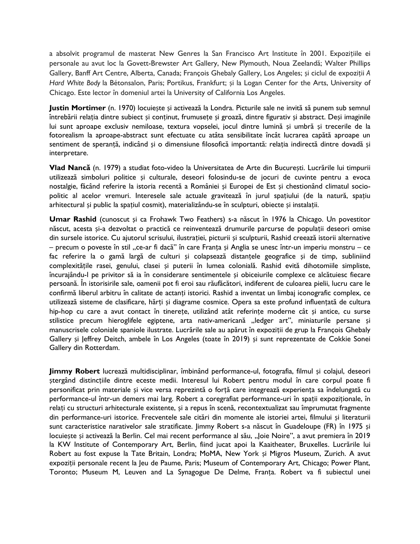a absolvit programul de masterat New Genres la San Francisco Art Institute în 2001. Expozițiile ei personale au avut loc la Govett-Brewster Art Gallery, New Plymouth, Noua Zeelandă; Walter Phillips Gallery, Banff Art Centre, Alberta, Canada; François Ghebaly Gallery, Los Angeles; și ciclul de expoziții *A Hard White Body* la Bétonsalon, Paris; Portikus, Frankfurt; și la Logan Center for the Arts, University of Chicago. Este lector în domeniul artei la University of California Los Angeles.

**Justin Mortimer** (n. 1970) locuiește și activează la Londra. Picturile sale ne invită să punem sub semnul întrebării relația dintre subiect și conținut, frumusețe și groază, dintre figurativ și abstract. Deși imaginile lui sunt aproape exclusiv nemiloase, textura vopselei, jocul dintre lumină și umbră și trecerile de la fotorealism la aproape-abstract sunt efectuate cu atâta sensibilitate încât lucrarea capătă aproape un sentiment de speranță, indicând și o dimensiune filosofică importantă: relația indirectă dintre dovadă și interpretare.

**Vlad Nancă** (n. 1979) a studiat foto-video la Universitatea de Arte din București. Lucrările lui timpurii utilizează simboluri politice și culturale, deseori folosindu-se de jocuri de cuvinte pentru a evoca nostalgie, făcând referire la istoria recentă a României și Europei de Est și chestionând climatul sociopolitic al acelor vremuri. Interesele sale actuale gravitează în jurul spațiului (de la natură, spațiu arhitectural și public la spațiul cosmit), materializându-se în sculpturi, obiecte și instalații.

**Umar Rashid** (cunoscut și ca Frohawk Two Feathers) s-a născut în 1976 la Chicago. Un povestitor născut, acesta și-a dezvoltat o practică ce reinventează drumurile parcurse de populații deseori omise din sursele istorice. Cu ajutorul scrisului, ilustrației, picturii și sculpturii, Rashid creează istorii alternative – precum o poveste în stil "ce-ar fi dacă" în care Franța și Anglia se unesc într-un imperiu monstru – ce fac referire la o gamă largă de culturi și colapsează distanțele geografice și de timp, subliniind complexitățile rasei, genului, clasei și puterii în lumea colonială. Rashid evită dihotomiile simpliste, încurajându-l pe privitor să ia în considerare sentimentele și obiceiurile complexe ce alcătuiesc fiecare persoană. În istorisirile sale, oamenii pot fi eroi sau răufăcători, indiferent de culoarea pielii, lucru care le confirmă liberul arbitru în calitate de actanți istorici. Rashid a inventat un limbaj iconografic complex, ce utilizează sisteme de clasificare, hărți și diagrame cosmice. Opera sa este profund influențată de cultura hip-hop cu care a avut contact în tinerețe, utilizând atât referințe moderne cât și antice, cu surse stilistice precum hieroglifele egiptene, arta nativ-americană "ledger art", miniaturile persane și manuscrisele coloniale spaniole ilustrate. Lucrările sale au apărut în expoziții de grup la François Ghebaly Gallery și Jeffrey Deitch, ambele în Los Angeles (toate în 2019) și sunt reprezentate de Cokkie Sonei Gallery din Rotterdam.

**Jimmy Robert** lucrează multidisciplinar, îmbinând performance-ul, fotografia, filmul și colajul, deseori ștergând distincțiile dintre eceste medii. Interesul lui Robert pentru modul în care corpul poate fi personificat prin materiale și vice versa reprezintă o forță care integrează experiența sa îndelungată cu performance-ul într-un demers mai larg. Robert a coregrafiat performance-uri în spații expoziționale, în relați cu structuri arhitecturale existente, și a repus în scenă, recontextualizat sau împrumutat fragmente din performance-uri istorice. Frecventele sale citări din momente ale istoriei artei, filmului și literaturii sunt caracteristice narativelor sale stratificate. Jimmy Robert s-a născut în Guadeloupe (FR) în 1975 și locuiește și activează la Berlin. Cel mai recent performance al său, "Joie Noire", a avut premiera în 2019 la KW Institute of Contemporary Art, Berlin, fiind jucat apoi la Kaaitheater, Bruxelles. Lucrările lui Robert au fost expuse la Tate Britain, Londra; MoMA, New York și Migros Museum, Zurich. A avut expoziții personale recent la Jeu de Paume, Paris; Museum of Contemporary Art, Chicago; Power Plant, Toronto; Museum M, Leuven and La Synagogue De Delme, Franța. Robert va fi subiectul unei